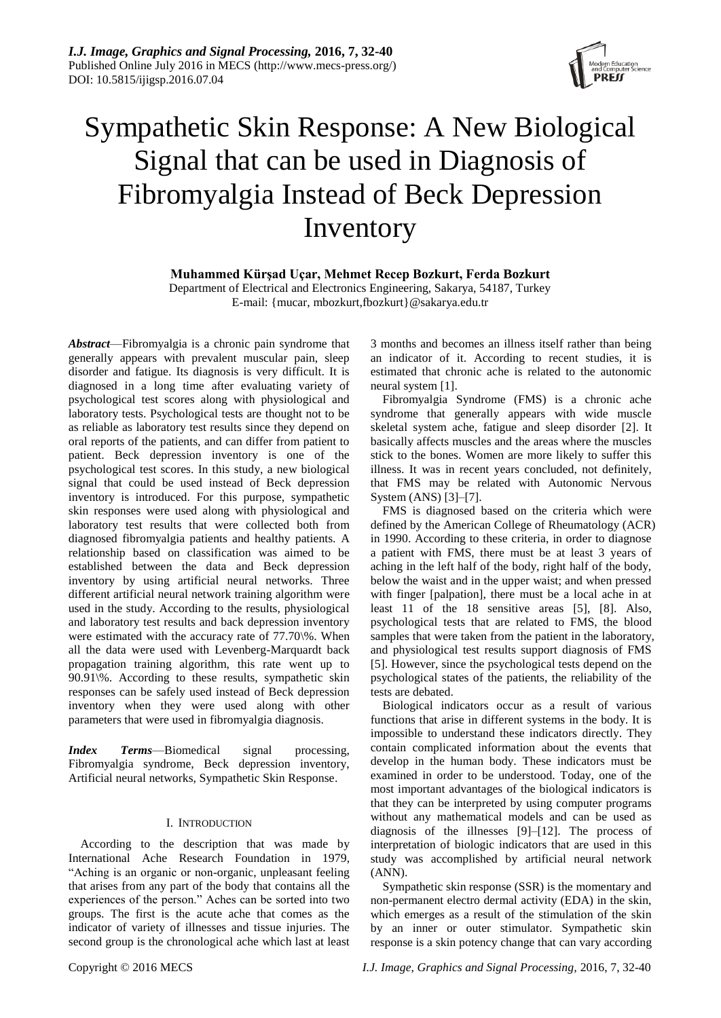

# Sympathetic Skin Response: A New Biological Signal that can be used in Diagnosis of Fibromyalgia Instead of Beck Depression Inventory

**Muhammed Kürşad Uçar, Mehmet Recep Bozkurt, Ferda Bozkurt**

Department of Electrical and Electronics Engineering, Sakarya, 54187, Turkey E-mail: {mucar, mbozkurt,fbozkurt}@sakarya.edu.tr

*Abstract*—Fibromyalgia is a chronic pain syndrome that generally appears with prevalent muscular pain, sleep disorder and fatigue. Its diagnosis is very difficult. It is diagnosed in a long time after evaluating variety of psychological test scores along with physiological and laboratory tests. Psychological tests are thought not to be as reliable as laboratory test results since they depend on oral reports of the patients, and can differ from patient to patient. Beck depression inventory is one of the psychological test scores. In this study, a new biological signal that could be used instead of Beck depression inventory is introduced. For this purpose, sympathetic skin responses were used along with physiological and laboratory test results that were collected both from diagnosed fibromyalgia patients and healthy patients. A relationship based on classification was aimed to be established between the data and Beck depression inventory by using artificial neural networks. Three different artificial neural network training algorithm were used in the study. According to the results, physiological and laboratory test results and back depression inventory were estimated with the accuracy rate of 77.70\%. When all the data were used with Levenberg-Marquardt back propagation training algorithm, this rate went up to 90.91\%. According to these results, sympathetic skin responses can be safely used instead of Beck depression inventory when they were used along with other parameters that were used in fibromyalgia diagnosis.

*Index Terms*—Biomedical signal processing, Fibromyalgia syndrome, Beck depression inventory, Artificial neural networks, Sympathetic Skin Response.

# I. INTRODUCTION

According to the description that was made by International Ache Research Foundation in 1979, ―Aching is an organic or non-organic, unpleasant feeling that arises from any part of the body that contains all the experiences of the person." Aches can be sorted into two groups. The first is the acute ache that comes as the indicator of variety of illnesses and tissue injuries. The second group is the chronological ache which last at least 3 months and becomes an illness itself rather than being an indicator of it. According to recent studies, it is estimated that chronic ache is related to the autonomic neural system [1].

Fibromyalgia Syndrome (FMS) is a chronic ache syndrome that generally appears with wide muscle skeletal system ache, fatigue and sleep disorder [2]. It basically affects muscles and the areas where the muscles stick to the bones. Women are more likely to suffer this illness. It was in recent years concluded, not definitely, that FMS may be related with Autonomic Nervous System (ANS) [3]–[7].

FMS is diagnosed based on the criteria which were defined by the American College of Rheumatology (ACR) in 1990. According to these criteria, in order to diagnose a patient with FMS, there must be at least 3 years of aching in the left half of the body, right half of the body, below the waist and in the upper waist; and when pressed with finger [palpation], there must be a local ache in at least 11 of the 18 sensitive areas [5], [8]. Also, psychological tests that are related to FMS, the blood samples that were taken from the patient in the laboratory, and physiological test results support diagnosis of FMS [5]. However, since the psychological tests depend on the psychological states of the patients, the reliability of the tests are debated.

Biological indicators occur as a result of various functions that arise in different systems in the body. It is impossible to understand these indicators directly. They contain complicated information about the events that develop in the human body. These indicators must be examined in order to be understood. Today, one of the most important advantages of the biological indicators is that they can be interpreted by using computer programs without any mathematical models and can be used as diagnosis of the illnesses [9]–[12]. The process of interpretation of biologic indicators that are used in this study was accomplished by artificial neural network (ANN).

Sympathetic skin response (SSR) is the momentary and non-permanent electro dermal activity (EDA) in the skin, which emerges as a result of the stimulation of the skin by an inner or outer stimulator. Sympathetic skin response is a skin potency change that can vary according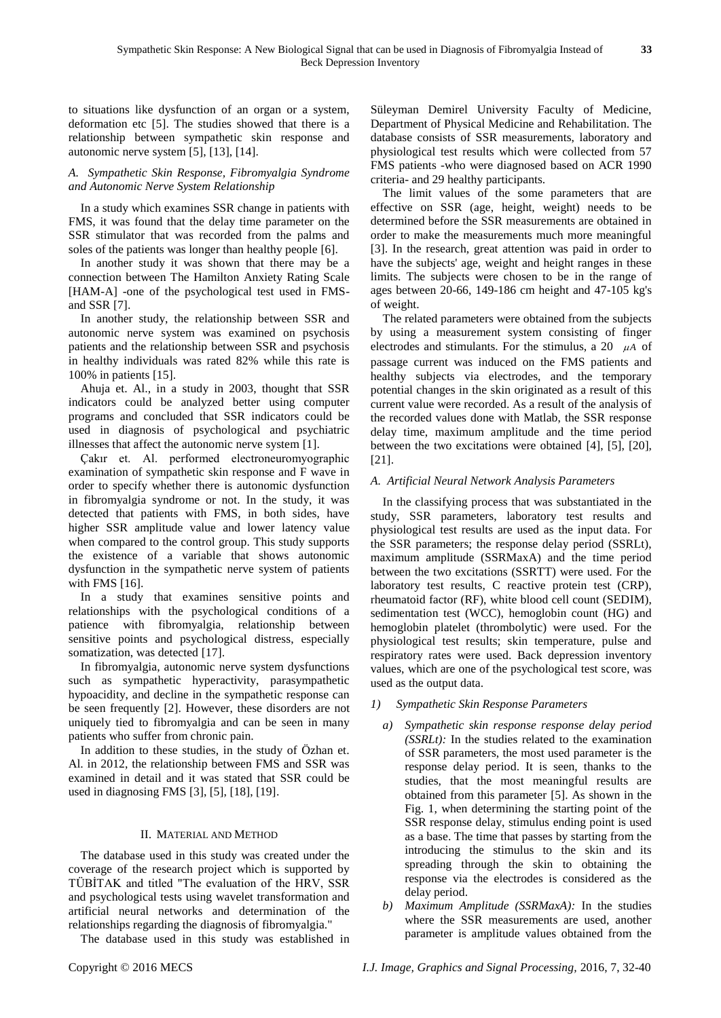to situations like dysfunction of an organ or a system, deformation etc [5]. The studies showed that there is a relationship between sympathetic skin response and autonomic nerve system [5], [13], [14].

# *A. Sympathetic Skin Response, Fibromyalgia Syndrome and Autonomic Nerve System Relationship*

In a study which examines SSR change in patients with FMS, it was found that the delay time parameter on the SSR stimulator that was recorded from the palms and soles of the patients was longer than healthy people [6].

In another study it was shown that there may be a connection between The Hamilton Anxiety Rating Scale [HAM-A] -one of the psychological test used in FMSand SSR [7].

In another study, the relationship between SSR and autonomic nerve system was examined on psychosis patients and the relationship between SSR and psychosis in healthy individuals was rated 82% while this rate is 100% in patients [15].

Ahuja et. Al., in a study in 2003, thought that SSR indicators could be analyzed better using computer programs and concluded that SSR indicators could be used in diagnosis of psychological and psychiatric illnesses that affect the autonomic nerve system [1].

Çakır et. Al. performed electroneuromyographic examination of sympathetic skin response and F wave in order to specify whether there is autonomic dysfunction in fibromyalgia syndrome or not. In the study, it was detected that patients with FMS, in both sides, have higher SSR amplitude value and lower latency value when compared to the control group. This study supports the existence of a variable that shows autonomic dysfunction in the sympathetic nerve system of patients with FMS [16].

In a study that examines sensitive points and relationships with the psychological conditions of a patience with fibromyalgia, relationship between sensitive points and psychological distress, especially somatization, was detected [17].

In fibromyalgia, autonomic nerve system dysfunctions such as sympathetic hyperactivity, parasympathetic hypoacidity, and decline in the sympathetic response can be seen frequently [2]. However, these disorders are not uniquely tied to fibromyalgia and can be seen in many patients who suffer from chronic pain.

In addition to these studies, in the study of Özhan et. Al. in 2012, the relationship between FMS and SSR was examined in detail and it was stated that SSR could be used in diagnosing FMS [3], [5], [18], [19].

# II. MATERIAL AND METHOD

The database used in this study was created under the coverage of the research project which is supported by TÜBİTAK and titled "The evaluation of the HRV, SSR and psychological tests using wavelet transformation and artificial neural networks and determination of the relationships regarding the diagnosis of fibromyalgia."

The database used in this study was established in

Süleyman Demirel University Faculty of Medicine, Department of Physical Medicine and Rehabilitation. The database consists of SSR measurements, laboratory and physiological test results which were collected from 57 FMS patients -who were diagnosed based on ACR 1990 criteria- and 29 healthy participants.

The limit values of the some parameters that are effective on SSR (age, height, weight) needs to be determined before the SSR measurements are obtained in order to make the measurements much more meaningful [3]. In the research, great attention was paid in order to have the subjects' age, weight and height ranges in these limits. The subjects were chosen to be in the range of ages between 20-66, 149-186 cm height and 47-105 kg's of weight.

The related parameters were obtained from the subjects by using a measurement system consisting of finger electrodes and stimulants. For the stimulus, a 20  $\mu$ A of passage current was induced on the FMS patients and healthy subjects via electrodes, and the temporary potential changes in the skin originated as a result of this current value were recorded. As a result of the analysis of the recorded values done with Matlab, the SSR response delay time, maximum amplitude and the time period between the two excitations were obtained [4], [5], [20], [21].

# *A. Artificial Neural Network Analysis Parameters*

In the classifying process that was substantiated in the study, SSR parameters, laboratory test results and physiological test results are used as the input data. For the SSR parameters; the response delay period (SSRLt), maximum amplitude (SSRMaxA) and the time period between the two excitations (SSRTT) were used. For the laboratory test results, C reactive protein test (CRP), rheumatoid factor (RF), white blood cell count (SEDIM), sedimentation test (WCC), hemoglobin count (HG) and hemoglobin platelet (thrombolytic) were used. For the physiological test results; skin temperature, pulse and respiratory rates were used. Back depression inventory values, which are one of the psychological test score, was used as the output data.

- *1) Sympathetic Skin Response Parameters*
	- *a) Sympathetic skin response response delay period (SSRLt):* In the studies related to the examination of SSR parameters, the most used parameter is the response delay period. It is seen, thanks to the studies, that the most meaningful results are obtained from this parameter [5]. As shown in the Fig. 1, when determining the starting point of the SSR response delay, stimulus ending point is used as a base. The time that passes by starting from the introducing the stimulus to the skin and its spreading through the skin to obtaining the response via the electrodes is considered as the delay period.
	- *b) Maximum Amplitude (SSRMaxA):* In the studies where the SSR measurements are used, another parameter is amplitude values obtained from the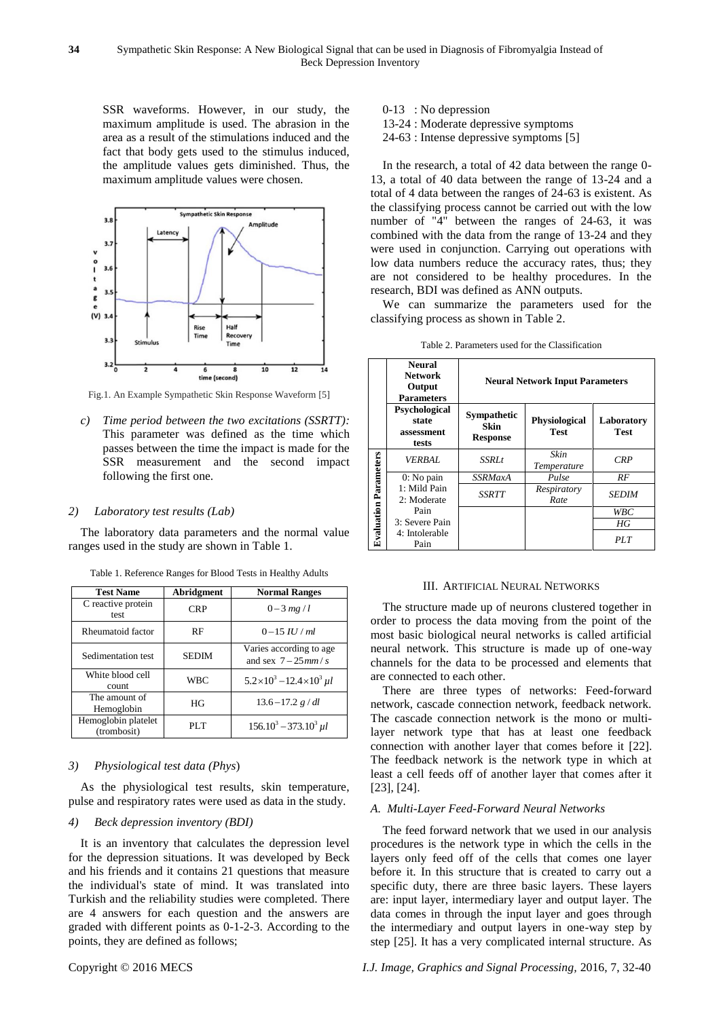SSR waveforms. However, in our study, the maximum amplitude is used. The abrasion in the area as a result of the stimulations induced and the fact that body gets used to the stimulus induced, the amplitude values gets diminished. Thus, the maximum amplitude values were chosen.



Fig.1. An Example Sympathetic Skin Response Waveform [5]

*c) Time period between the two excitations (SSRTT):*  This parameter was defined as the time which passes between the time the impact is made for the SSR measurement and the second impact following the first one.

#### *2) Laboratory test results (Lab)*

The laboratory data parameters and the normal value ranges used in the study are shown in Table 1.

| <b>Test Name</b>                   | Abridgment   | <b>Normal Ranges</b>                              |
|------------------------------------|--------------|---------------------------------------------------|
| C reactive protein<br>test         | <b>CRP</b>   | $0 - 3 mg/l$                                      |
| Rheumatoid factor                  | RF           | $0-15$ <i>IU / ml</i>                             |
| Sedimentation test                 | <b>SEDIM</b> | Varies according to age.<br>and sex $7-25$ mm / s |
| White blood cell<br>count          | <b>WBC</b>   | $5.2 \times 10^3 - 12.4 \times 10^3$ $\mu$        |
| The amount of<br>Hemoglobin        | HG           | $13.6 - 17.2 g/dl$                                |
| Hemoglobin platelet<br>(trombosit) | PLT          | $156.10^3 - 373.10^3$ $\mu$                       |

Table 1. Reference Ranges for Blood Tests in Healthy Adults

#### *3) Physiological test data (Phys*)

As the physiological test results, skin temperature, pulse and respiratory rates were used as data in the study.

#### *4) Beck depression inventory (BDI)*

It is an inventory that calculates the depression level for the depression situations. It was developed by Beck and his friends and it contains 21 questions that measure the individual's state of mind. It was translated into Turkish and the reliability studies were completed. There are 4 answers for each question and the answers are graded with different points as 0-1-2-3. According to the points, they are defined as follows;

- 0-13 : No depression
- 13-24 : Moderate depressive symptoms
- 24-63 : Intense depressive symptoms [5]

In the research, a total of 42 data between the range 0- 13, a total of 40 data between the range of 13-24 and a total of 4 data between the ranges of 24-63 is existent. As the classifying process cannot be carried out with the low number of "4" between the ranges of 24-63, it was combined with the data from the range of 13-24 and they were used in conjunction. Carrying out operations with low data numbers reduce the accuracy rates, thus; they are not considered to be healthy procedures. In the research, BDI was defined as ANN outputs.

We can summarize the parameters used for the classifying process as shown in Table 2.

|  |  | Table 2. Parameters used for the Classification |  |
|--|--|-------------------------------------------------|--|
|  |  |                                                 |  |

|                              | <b>Neural</b><br><b>Network</b><br>Output<br><b>Parameters</b> |                                        | <b>Neural Network Input Parameters</b> |              |
|------------------------------|----------------------------------------------------------------|----------------------------------------|----------------------------------------|--------------|
|                              | Psychological<br>state<br>assessment<br>tests                  | Sympathetic<br>Skin<br><b>Response</b> | <b>Physiological</b><br><b>Test</b>    |              |
|                              | <i>VERBAL</i>                                                  | <i>SSRLt</i>                           | Skin<br>Temperature                    | <b>CRP</b>   |
|                              | $0:$ No pain                                                   | <b>SSRMaxA</b>                         | Pulse                                  | RF           |
| <b>Evaluation Parameters</b> | 1: Mild Pain<br>2: Moderate                                    | SSRTT                                  | Respiratory<br>Rate                    | <i>SEDIM</i> |
|                              | Pain                                                           |                                        |                                        | WBC          |
|                              | 3: Severe Pain                                                 |                                        |                                        | НG           |
|                              | 4: Intolerable<br>Pain                                         |                                        |                                        | PLT          |

#### III. ARTIFICIAL NEURAL NETWORKS

The structure made up of neurons clustered together in order to process the data moving from the point of the most basic biological neural networks is called artificial neural network. This structure is made up of one-way channels for the data to be processed and elements that are connected to each other.

There are three types of networks: Feed-forward network, cascade connection network, feedback network. The cascade connection network is the mono or multilayer network type that has at least one feedback connection with another layer that comes before it [22]. The feedback network is the network type in which at least a cell feeds off of another layer that comes after it [23], [24].

#### *A. Multi-Layer Feed-Forward Neural Networks*

The feed forward network that we used in our analysis procedures is the network type in which the cells in the layers only feed off of the cells that comes one layer before it. In this structure that is created to carry out a specific duty, there are three basic layers. These layers are: input layer, intermediary layer and output layer. The data comes in through the input layer and goes through the intermediary and output layers in one-way step by step [25]. It has a very complicated internal structure. As

Copyright © 2016 MECS *I.J. Image, Graphics and Signal Processing,* 2016, 7, 32-40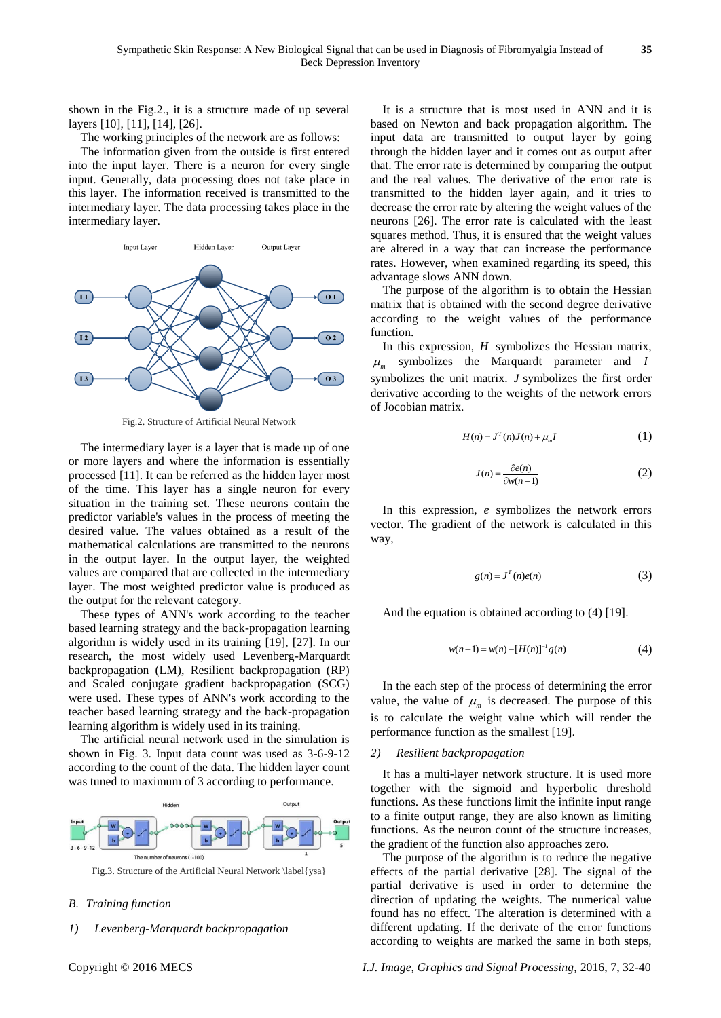shown in the Fig.2., it is a structure made of up several layers [10], [11], [14], [26].

The working principles of the network are as follows:

The information given from the outside is first entered into the input layer. There is a neuron for every single input. Generally, data processing does not take place in this layer. The information received is transmitted to the intermediary layer. The data processing takes place in the intermediary layer.



Fig.2. Structure of Artificial Neural Network

The intermediary layer is a layer that is made up of one or more layers and where the information is essentially processed [11]. It can be referred as the hidden layer most of the time. This layer has a single neuron for every situation in the training set. These neurons contain the predictor variable's values in the process of meeting the desired value. The values obtained as a result of the mathematical calculations are transmitted to the neurons in the output layer. In the output layer, the weighted values are compared that are collected in the intermediary layer. The most weighted predictor value is produced as the output for the relevant category.

These types of ANN's work according to the teacher based learning strategy and the back-propagation learning algorithm is widely used in its training [19], [27]. In our research, the most widely used Levenberg-Marquardt backpropagation (LM), Resilient backpropagation (RP) and Scaled conjugate gradient backpropagation (SCG) were used. These types of ANN's work according to the teacher based learning strategy and the back-propagation learning algorithm is widely used in its training.

The artificial neural network used in the simulation is shown in Fig. 3. Input data count was used as 3-6-9-12 according to the count of the data. The hidden layer count was tuned to maximum of 3 according to performance.



Fig.3. Structure of the Artificial Neural Network \label{ysa}

## *B. Training function*

#### *1) Levenberg-Marquardt backpropagation*

It is a structure that is most used in ANN and it is based on Newton and back propagation algorithm. The input data are transmitted to output layer by going through the hidden layer and it comes out as output after that. The error rate is determined by comparing the output and the real values. The derivative of the error rate is transmitted to the hidden layer again, and it tries to decrease the error rate by altering the weight values of the neurons [26]. The error rate is calculated with the least squares method. Thus, it is ensured that the weight values are altered in a way that can increase the performance rates. However, when examined regarding its speed, this advantage slows ANN down.

The purpose of the algorithm is to obtain the Hessian matrix that is obtained with the second degree derivative according to the weight values of the performance function.

In this expression, *H* symbolizes the Hessian matrix,  $\mu$ <sub>m</sub> symbolizes the Marquardt parameter and *I* symbolizes the unit matrix. *J* symbolizes the first order derivative according to the weights of the network errors of Jocobian matrix.

$$
H(n) = JT(n)J(n) + \mumI
$$
 (1)

$$
J(n) = \frac{\partial e(n)}{\partial w(n-1)}
$$
 (2)

In this expression, *e* symbolizes the network errors vector. The gradient of the network is calculated in this way,

$$
g(n) = JT(n)e(n)
$$
 (3)

And the equation is obtained according to (4) [19].

$$
w(n+1) = w(n) - [H(n)]^{-1} g(n)
$$
 (4)

In the each step of the process of determining the error value, the value of  $\mu_m$  is decreased. The purpose of this is to calculate the weight value which will render the performance function as the smallest [19].

### *2) Resilient backpropagation*

It has a multi-layer network structure. It is used more together with the sigmoid and hyperbolic threshold functions. As these functions limit the infinite input range to a finite output range, they are also known as limiting functions. As the neuron count of the structure increases, the gradient of the function also approaches zero.

The purpose of the algorithm is to reduce the negative effects of the partial derivative [28]. The signal of the partial derivative is used in order to determine the direction of updating the weights. The numerical value found has no effect. The alteration is determined with a different updating. If the derivate of the error functions according to weights are marked the same in both steps,

Copyright © 2016 MECS *I.J. Image, Graphics and Signal Processing,* 2016, 7, 32-40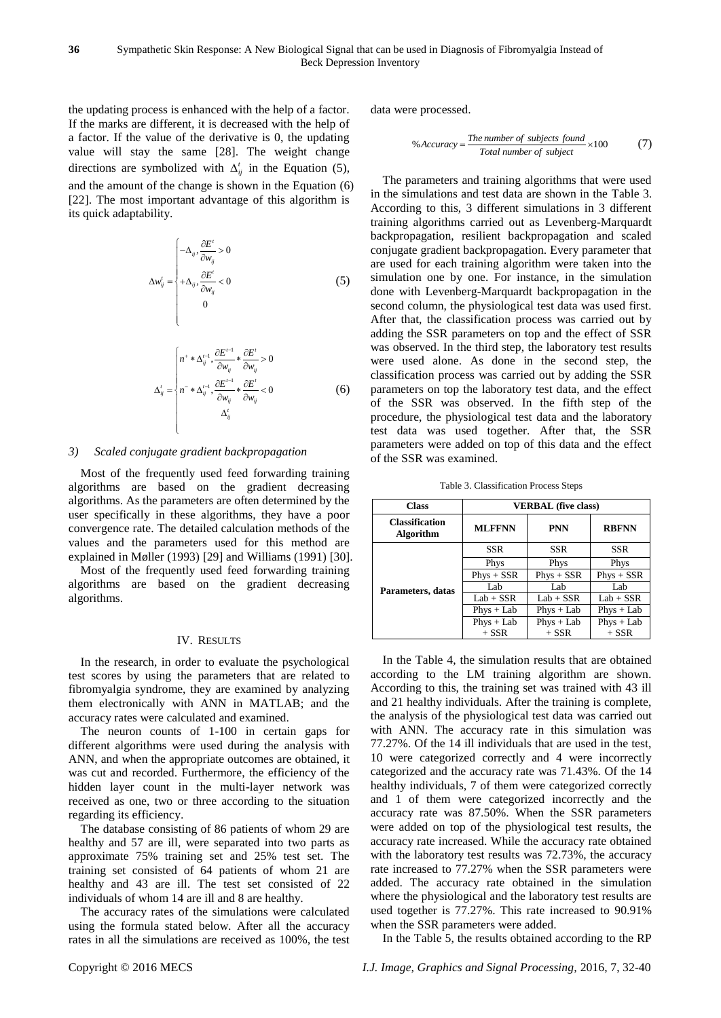the updating process is enhanced with the help of a factor. If the marks are different, it is decreased with the help of a factor. If the value of the derivative is 0, the updating value will stay the same [28]. The weight change directions are symbolized with  $\Delta_{ij}^t$  in the Equation (5), and the amount of the change is shown in the Equation (6) [22]. The most important advantage of this algorithm is its quick adaptability.

$$
\Delta w_{ij}^{\prime} = \begin{cases}\n-\Delta_{ij}, \frac{\partial E^{\prime}}{\partial w_{ij}} > 0 \\
+\Delta_{ij}, \frac{\partial E^{\prime}}{\partial w_{ij}} < 0 \\
0\n\end{cases} \tag{5}
$$

$$
\Delta_{ij}^{t} = \begin{cases}\nn^{+} * \Delta_{ij}^{t-1}, \frac{\partial E^{t-1}}{\partial w_{ij}} * \frac{\partial E^{t}}{\partial w_{ij}} > 0 \\
n^{-} * \Delta_{ij}^{t-1}, \frac{\partial E^{t-1}}{\partial w_{ij}} * \frac{\partial E^{t}}{\partial w_{ij}} < 0 \\
\Delta_{ij}^{t}\n\end{cases} \tag{6}
$$

# *3) Scaled conjugate gradient backpropagation*

Most of the frequently used feed forwarding training algorithms are based on the gradient decreasing algorithms. As the parameters are often determined by the user specifically in these algorithms, they have a poor convergence rate. The detailed calculation methods of the values and the parameters used for this method are explained in Møller (1993) [29] and Williams (1991) [30].

Most of the frequently used feed forwarding training algorithms are based on the gradient decreasing algorithms.

## IV. RESULTS

In the research, in order to evaluate the psychological test scores by using the parameters that are related to fibromyalgia syndrome, they are examined by analyzing them electronically with ANN in MATLAB; and the accuracy rates were calculated and examined.

The neuron counts of 1-100 in certain gaps for different algorithms were used during the analysis with ANN, and when the appropriate outcomes are obtained, it was cut and recorded. Furthermore, the efficiency of the hidden layer count in the multi-layer network was received as one, two or three according to the situation regarding its efficiency.

The database consisting of 86 patients of whom 29 are healthy and 57 are ill, were separated into two parts as approximate 75% training set and 25% test set. The training set consisted of 64 patients of whom 21 are healthy and 43 are ill. The test set consisted of 22 individuals of whom 14 are ill and 8 are healthy.

The accuracy rates of the simulations were calculated using the formula stated below. After all the accuracy rates in all the simulations are received as 100%, the test data were processed.

% Accuracy = 
$$
\frac{The number of subjects found}{Total number of subject} \times 100
$$
 (7)

The parameters and training algorithms that were used in the simulations and test data are shown in the Table 3. According to this, 3 different simulations in 3 different training algorithms carried out as Levenberg-Marquardt backpropagation, resilient backpropagation and scaled conjugate gradient backpropagation. Every parameter that are used for each training algorithm were taken into the simulation one by one. For instance, in the simulation done with Levenberg-Marquardt backpropagation in the second column, the physiological test data was used first. After that, the classification process was carried out by adding the SSR parameters on top and the effect of SSR was observed. In the third step, the laboratory test results were used alone. As done in the second step, the classification process was carried out by adding the SSR parameters on top the laboratory test data, and the effect of the SSR was observed. In the fifth step of the procedure, the physiological test data and the laboratory test data was used together. After that, the SSR parameters were added on top of this data and the effect of the SSR was examined.

Table 3. Classification Process Steps

| <b>Class</b>                              | <b>VERBAL</b> (five class) |              |              |  |  |  |  |
|-------------------------------------------|----------------------------|--------------|--------------|--|--|--|--|
| <b>Classification</b><br><b>Algorithm</b> | <b>MLFFNN</b>              | <b>PNN</b>   | <b>RBFNN</b> |  |  |  |  |
|                                           | <b>SSR</b>                 | SSR          | SSR          |  |  |  |  |
|                                           | Phys                       | Phys         | Phys         |  |  |  |  |
|                                           | $Phys + SSR$               | $Phys + SSR$ | $Phys + SSR$ |  |  |  |  |
| Parameters, datas                         | Lab                        | Lab          | Lab          |  |  |  |  |
|                                           | $Lab + SSR$                | $Lab + SSR$  | $Lab + SSR$  |  |  |  |  |
|                                           | $Phys + Lab$               | $Phys + Lab$ | $Phys + Lab$ |  |  |  |  |
|                                           | $Phys + Lab$               | $Phys + Lab$ | $Phys + Lab$ |  |  |  |  |
|                                           | $+$ SSR                    | $+$ SSR      | $+$ SSR      |  |  |  |  |

In the Table 4, the simulation results that are obtained according to the LM training algorithm are shown. According to this, the training set was trained with 43 ill and 21 healthy individuals. After the training is complete, the analysis of the physiological test data was carried out with ANN. The accuracy rate in this simulation was 77.27%. Of the 14 ill individuals that are used in the test, 10 were categorized correctly and 4 were incorrectly categorized and the accuracy rate was 71.43%. Of the 14 healthy individuals, 7 of them were categorized correctly and 1 of them were categorized incorrectly and the accuracy rate was 87.50%. When the SSR parameters were added on top of the physiological test results, the accuracy rate increased. While the accuracy rate obtained with the laboratory test results was 72.73%, the accuracy rate increased to 77.27% when the SSR parameters were added. The accuracy rate obtained in the simulation where the physiological and the laboratory test results are used together is 77.27%. This rate increased to 90.91% when the SSR parameters were added.

In the Table 5, the results obtained according to the RP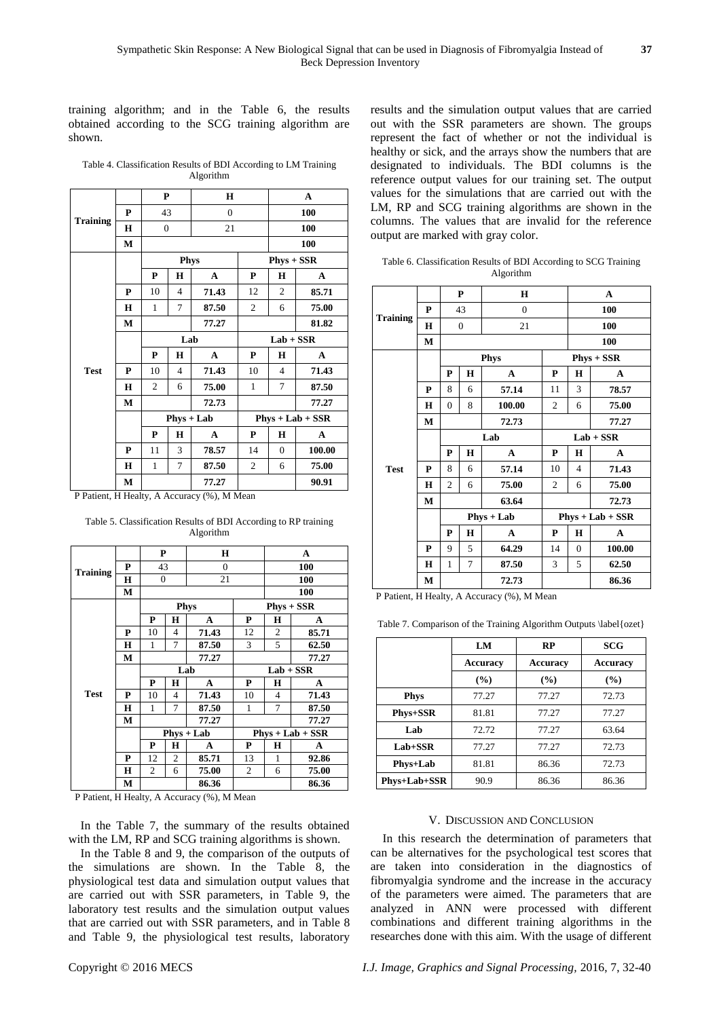training algorithm; and in the Table 6, the results obtained according to the SCG training algorithm are shown.

Table 4. Classification Results of BDI According to LM Training Algorithm

|                 |   | $\mathbf P$    |                | H            |                | A              |                    |  |
|-----------------|---|----------------|----------------|--------------|----------------|----------------|--------------------|--|
|                 | P | 43             |                | $\mathbf{0}$ |                | 100            |                    |  |
| <b>Training</b> | н | $\mathbf{0}$   |                | 21           |                |                | 100                |  |
|                 | М |                |                |              |                |                | 100                |  |
|                 |   |                | <b>Phys</b>    |              |                | $Phys + SSR$   |                    |  |
|                 |   | P              | H              | A            | $\mathbf P$    | H              | A                  |  |
|                 | P | 10             | $\overline{4}$ | 71.43        | 12             | $\overline{c}$ | 85.71              |  |
|                 | H | 1              | 7              | 87.50        | $\overline{c}$ | 6              | 75.00              |  |
|                 | М |                |                | 77.27        |                | 81.82          |                    |  |
|                 |   |                | Lab            |              |                | $Lab + SSR$    |                    |  |
|                 |   | $\mathbf{P}$   | H              | $\mathbf{A}$ | P              | H              | A                  |  |
| <b>Test</b>     | P | 10             | $\overline{4}$ | 71.43        | 10             | 4              | 71.43              |  |
|                 | H | $\overline{c}$ | 6              | 75.00        | $\mathbf{1}$   | 7              | 87.50              |  |
|                 | м |                |                | 72.73        |                | 77.27          |                    |  |
|                 |   |                | $Phys + Lab$   |              |                |                | $Phys + Lab + SSR$ |  |
|                 |   | P              | Н              | A            | P              | H              | A                  |  |
|                 | P | 11             | 3              | 78.57        | 14             | $\Omega$       | 100.00             |  |
|                 | H | $\mathbf{1}$   | 7              | 87.50        | $\overline{c}$ | 6              | 75.00              |  |
|                 | М |                |                | 77.27        |                |                | 90.91              |  |

P Patient, H Healty, A Accuracy (%), M Mean

Table 5. Classification Results of BDI According to RP training Algorithm

|                 |   | P              |                | H            |             |                | A                  |  |
|-----------------|---|----------------|----------------|--------------|-------------|----------------|--------------------|--|
| <b>Training</b> | P | 43             |                | $\mathbf{0}$ |             | 100            |                    |  |
|                 | Н | $\overline{0}$ |                | 21           |             | 100            |                    |  |
|                 | М |                |                |              |             |                | <b>100</b>         |  |
|                 |   |                |                | <b>Phys</b>  |             |                | $Phys + SSR$       |  |
|                 |   | P              | Н              | A            | P           | Н              | A                  |  |
|                 | P | 10             | 4              | 71.43        | 12          | $\overline{c}$ | 85.71              |  |
|                 | H | 1              | 7              | 87.50        | 3           | 5              | 62.50              |  |
|                 | М |                |                | 77.27        |             |                | 77.27              |  |
|                 |   |                |                | Lab          | $Lab + SSR$ |                |                    |  |
|                 |   | P              | Н              | A            | P           | Н              | A                  |  |
| <b>Test</b>     | P | 10             | 4              | 71.43        | 10          | 4              | 71.43              |  |
|                 | Н | 1              | 7              | 87.50        | 1           | 7              | 87.50              |  |
|                 | М |                |                | 77.27        |             |                | 77.27              |  |
|                 |   |                |                | $Phys + Lab$ |             |                | $Phys + Lab + SSR$ |  |
|                 |   | P              | Н              | A            | P           | Н              | A                  |  |
|                 | P | 12             | $\overline{c}$ | 85.71        | 13          | 1              | 92.86              |  |
|                 | Н | 2              | 6              | 75.00        | 2           | 6              | 75.00              |  |
|                 | М | 86.36          |                |              |             | 86.36          |                    |  |

P Patient, H Healty, A Accuracy (%), M Mean

In the Table 7, the summary of the results obtained with the LM, RP and SCG training algorithms is shown.

In the Table 8 and 9, the comparison of the outputs of the simulations are shown. In the Table 8, the physiological test data and simulation output values that are carried out with SSR parameters, in Table 9, the laboratory test results and the simulation output values that are carried out with SSR parameters, and in Table 8 and Table 9, the physiological test results, laboratory

results and the simulation output values that are carried out with the SSR parameters are shown. The groups represent the fact of whether or not the individual is healthy or sick, and the arrays show the numbers that are designated to individuals. The BDI columns is the reference output values for our training set. The output values for the simulations that are carried out with the LM, RP and SCG training algorithms are shown in the columns. The values that are invalid for the reference output are marked with gray color.

Table 6. Classification Results of BDI According to SCG Training Algorithm

|                 |   |              | P              | н              |                |             | $\mathbf{A}$       |  |  |
|-----------------|---|--------------|----------------|----------------|----------------|-------------|--------------------|--|--|
|                 | P |              | 43             | $\overline{0}$ |                | 100         |                    |  |  |
| <b>Training</b> | H |              | $\overline{0}$ | 21             |                |             | 100                |  |  |
|                 | М |              |                |                |                |             | 100                |  |  |
|                 |   |              |                | <b>Phys</b>    |                |             | $Phys + SSR$       |  |  |
|                 |   | P            | $\mathbf H$    | A              | P              | H           | A                  |  |  |
|                 | P | 8            | 6              | 57.14          | 11             | 3           | 78.57              |  |  |
|                 | H | 0            | 8              | 100.00         | $\overline{2}$ | 6           | 75.00              |  |  |
|                 | M |              |                | 72.73          |                | 77.27       |                    |  |  |
|                 |   |              |                | Lab            |                | $Lab + SSR$ |                    |  |  |
|                 |   | P            | H              | A              | P              | H           | A                  |  |  |
| <b>Test</b>     | P | 8            | 6              | 57.14          | 10             | 4           | 71.43              |  |  |
|                 | H | 2            | 6              | 75.00          | $\overline{2}$ | 6           | 75.00              |  |  |
|                 | M |              |                | 63.64          |                | 72.73       |                    |  |  |
|                 |   |              |                | $Phys + Lab$   |                |             | $Phys + Lab + SSR$ |  |  |
|                 |   | P            | H              | A              | P              | H           | A                  |  |  |
|                 | P | 9            | 5              | 64.29          | 14             | $\theta$    | 100.00             |  |  |
|                 | H | $\mathbf{1}$ | 7              | 87.50          | 3              | 5           | 62.50              |  |  |
|                 | М |              |                | 72.73          |                |             | 86.36              |  |  |

P Patient, H Healty, A Accuracy (%), M Mean

Table 7. Comparison of the Training Algorithm Outputs \label{ozet}

|                 | LM              | RP              | <b>SCG</b>      |
|-----------------|-----------------|-----------------|-----------------|
|                 | <b>Accuracy</b> | <b>Accuracy</b> | <b>Accuracy</b> |
|                 | $($ %)          | (%)             | (%)             |
| <b>Phys</b>     | 77.27           | 77.27           | 72.73           |
| <b>Phys+SSR</b> | 81.81           | 77.27           | 77.27           |
| Lab             | 72.72           | 77.27           | 63.64           |
| $Lab+SSR$       | 77.27           | 77.27           | 72.73           |
| Phys+Lab        | 81.81           | 86.36           | 72.73           |
| Phys+Lab+SSR    | 90.9            | 86.36           | 86.36           |

#### V. DISCUSSION AND CONCLUSION

In this research the determination of parameters that can be alternatives for the psychological test scores that are taken into consideration in the diagnostics of fibromyalgia syndrome and the increase in the accuracy of the parameters were aimed. The parameters that are analyzed in ANN were processed with different combinations and different training algorithms in the researches done with this aim. With the usage of different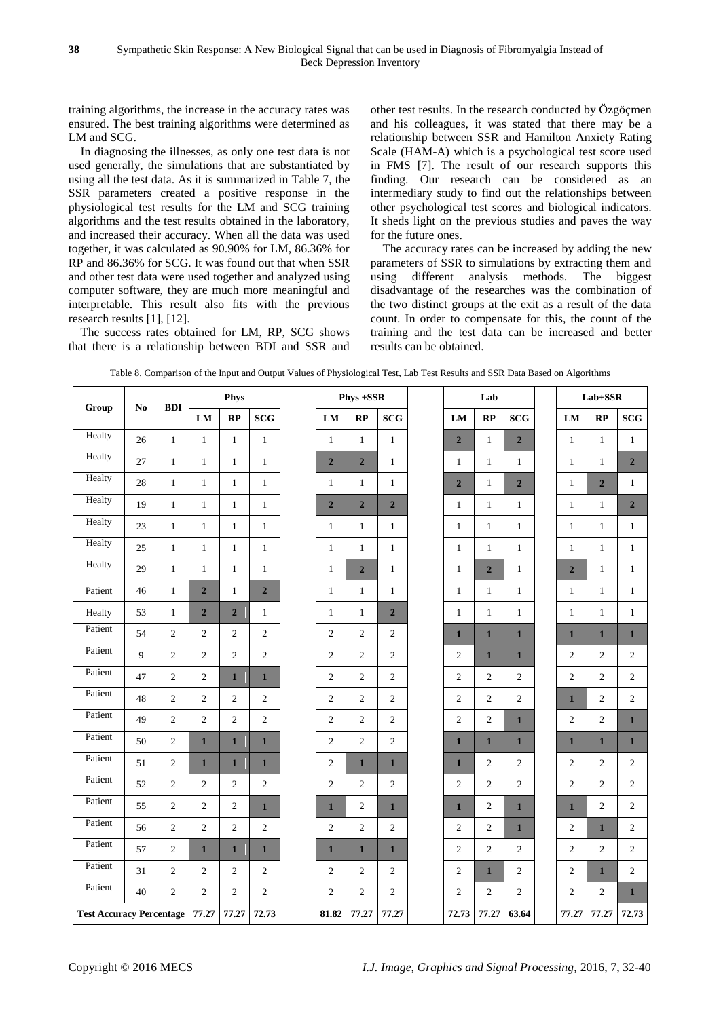training algorithms, the increase in the accuracy rates was ensured. The best training algorithms were determined as LM and SCG.

In diagnosing the illnesses, as only one test data is not used generally, the simulations that are substantiated by using all the test data. As it is summarized in Table 7, the SSR parameters created a positive response in the physiological test results for the LM and SCG training algorithms and the test results obtained in the laboratory, and increased their accuracy. When all the data was used together, it was calculated as 90.90% for LM, 86.36% for RP and 86.36% for SCG. It was found out that when SSR and other test data were used together and analyzed using computer software, they are much more meaningful and interpretable. This result also fits with the previous research results [1], [12].

The success rates obtained for LM, RP, SCG shows that there is a relationship between BDI and SSR and other test results. In the research conducted by Özgöçmen and his colleagues, it was stated that there may be a relationship between SSR and Hamilton Anxiety Rating Scale (HAM-A) which is a psychological test score used in FMS [7]. The result of our research supports this finding. Our research can be considered as an intermediary study to find out the relationships between other psychological test scores and biological indicators. It sheds light on the previous studies and paves the way for the future ones.

The accuracy rates can be increased by adding the new parameters of SSR to simulations by extracting them and using different analysis methods. The biggest disadvantage of the researches was the combination of the two distinct groups at the exit as a result of the data count. In order to compensate for this, the count of the training and the test data can be increased and better results can be obtained.

|                                 | N <sub>0</sub> | <b>BDI</b>     |                | Phys           |                |                  | Phys +SSR        |                  | Lab                     |                         |                | $Lab+SSR$      |                |                  |
|---------------------------------|----------------|----------------|----------------|----------------|----------------|------------------|------------------|------------------|-------------------------|-------------------------|----------------|----------------|----------------|------------------|
| Group                           |                |                | ${\bf LM}$     | RP             | <b>SCG</b>     | ${\bf LM}$       | RP               | <b>SCG</b>       | LM                      | RP                      | <b>SCG</b>     | LM             | RP             | SCG              |
| Healty                          | 26             | $\mathbf{1}$   | $\mathbf{1}$   | $\mathbf{1}$   | $\mathbf{1}$   | $\mathbf{1}$     | $\mathbf{1}$     | $\mathbf{1}$     | $\overline{2}$          | $\mathbf{1}$            | $\overline{2}$ | $\mathbf{1}$   | $\mathbf{1}$   | $\mathbf{1}$     |
| Healty                          | 27             | $\mathbf{1}$   | $\mathbf{1}$   | $\mathbf{1}$   | $\mathbf{1}$   | $\overline{2}$   | $\overline{2}$   | $\mathbf{1}$     | $\mathbf{1}$            | $\mathbf{1}$            | $\mathbf{1}$   | $\mathbf{1}$   | $\mathbf{1}$   | $\overline{2}$   |
| Healty                          | $28\,$         | $\mathbf{1}$   | $\mathbf{1}$   | $\mathbf{1}$   | $\mathbf{1}$   | $\mathbf{1}$     | $\mathbf{1}$     | $\mathbf{1}$     | $\overline{\mathbf{2}}$ | $\mathbf{1}$            | $\overline{2}$ | $\mathbf{1}$   | $\overline{2}$ | $\mathbf{1}$     |
| Healty                          | 19             | $\mathbf{1}$   | $\mathbf{1}$   | $\mathbf{1}$   | $\mathbf{1}$   | $\overline{2}$   | $\overline{2}$   | $\overline{2}$   | $\mathbf{1}$            | $\mathbf{1}$            | $\mathbf{1}$   | $\mathbf{1}$   | $\mathbf{1}$   | $\overline{2}$   |
| Healty                          | 23             | $\mathbf{1}$   | $\mathbf{1}$   | $\mathbf{1}$   | $\mathbf{1}$   | $\mathbf{1}$     | $\mathbf{1}$     | $\mathbf{1}$     | $\mathbf{1}$            | $\mathbf{1}$            | $\mathbf{1}$   | $\mathbf{1}$   | $\mathbf{1}$   | $\mathbf{1}$     |
| Healty                          | 25             | $\mathbf{1}$   | $\mathbf{1}$   | $\mathbf{1}$   | $\mathbf{1}$   | $\mathbf{1}$     | $\mathbf{1}$     | $\mathbf{1}$     | $\mathbf{1}$            | $\mathbf{1}$            | $\mathbf{1}$   | $\mathbf{1}$   | $\mathbf{1}$   | $\mathbf{1}$     |
| Healty                          | 29             | $\mathbf{1}$   | $\mathbf{1}$   | $\mathbf{1}$   | $\mathbf{1}$   | $\mathbf{1}$     | $\overline{2}$   | $\mathbf{1}$     | $\mathbf{1}$            | $\overline{\mathbf{c}}$ | $\mathbf{1}$   | $\overline{2}$ | $\mathbf{1}$   | $\mathbf{1}$     |
| Patient                         | 46             | $\mathbf{1}$   | $\overline{2}$ | $\mathbf{1}$   | $\overline{2}$ | $\mathbf{1}$     | $\mathbf{1}$     | $\mathbf{1}$     | $\mathbf{1}$            | $\mathbf{1}$            | $\mathbf{1}$   | $\mathbf{1}$   | $\mathbf{1}$   | $\mathbf{1}$     |
| Healty                          | 53             | $\mathbf{1}$   | $\overline{2}$ | $\overline{2}$ | $\mathbf{1}$   | $\mathbf{1}$     | $\mathbf{1}$     | $\overline{2}$   | $\mathbf{1}$            | $\mathbf{1}$            | $\mathbf{1}$   | $\mathbf{1}$   | $\mathbf{1}$   | $\mathbf{1}$     |
| Patient                         | 54             | $\mathbf{2}$   | $\overline{c}$ | $\overline{c}$ | $\overline{c}$ | $\overline{c}$   | $\overline{c}$   | $\boldsymbol{2}$ | $\mathbf{1}$            | $\mathbf{1}$            | $\mathbf{1}$   | $\mathbf{1}$   | $\mathbf{1}$   | $\mathbf{1}$     |
| Patient                         | 9              | $\overline{c}$ | 2              | $\overline{c}$ | $\overline{c}$ | $\overline{c}$   | $\overline{c}$   | $\overline{c}$   | $\overline{c}$          | $\mathbf{1}$            | $\mathbf{1}$   | 2              | $\overline{c}$ | $\overline{c}$   |
| Patient                         | 47             | $\overline{c}$ | $\mathbf{2}$   | $\mathbf{1}$   | $\mathbf{1}$   | $\overline{c}$   | $\overline{c}$   | $\mathbf{2}$     | $\overline{c}$          | $\overline{c}$          | $\overline{c}$ | $\overline{c}$ | $\overline{c}$ | $\mathbf{2}$     |
| Patient                         | 48             | $\overline{c}$ | $\mathbf{2}$   | $\overline{c}$ | $\overline{c}$ | $\boldsymbol{2}$ | $\overline{c}$   | $\overline{c}$   | $\sqrt{2}$              | 2                       | $\overline{c}$ | $\mathbf{1}$   | 2              | $\overline{c}$   |
| Patient                         | 49             | $\overline{c}$ | $\mathbf{2}$   | $\overline{c}$ | $\overline{c}$ | $\overline{c}$   | $\overline{c}$   | $\overline{c}$   | $\sqrt{2}$              | $\overline{c}$          | $\mathbf{1}$   | $\overline{c}$ | $\sqrt{2}$     | $\mathbf{1}$     |
| Patient                         | 50             | $\overline{c}$ | $\mathbf{1}$   | $\mathbf{1}$   | $\mathbf{1}$   | $\mathfrak{2}$   | $\overline{c}$   | $\mathfrak{2}$   | $\mathbf{1}$            | $\mathbf{1}$            | $\mathbf{1}$   | $\mathbf{1}$   | $\mathbf{1}$   | $\mathbf{1}$     |
| Patient                         | 51             | $\overline{c}$ | $\mathbf{1}$   | $\mathbf{1}$   | $\mathbf{1}$   | $\overline{c}$   | $\mathbf{1}$     | $\mathbf{1}$     | $\mathbf{1}$            | 2                       | $\overline{c}$ | 2              | 2              | $\overline{c}$   |
| Patient                         | 52             | $\overline{c}$ | $\mathbf{2}$   | $\overline{c}$ | $\overline{c}$ | $\overline{c}$   | $\boldsymbol{2}$ | $\mathfrak{2}$   | $\overline{c}$          | $\overline{c}$          | $\overline{c}$ | $\overline{c}$ | $\mathbf{2}$   | $\mathbf{2}$     |
| Patient                         | 55             | $\overline{c}$ | 2              | $\overline{c}$ | $\mathbf{1}$   | $\mathbf{1}$     | $\overline{c}$   | $\mathbf{1}$     | $\mathbf{1}$            | 2                       | $\mathbf{1}$   | $\mathbf{1}$   | $\overline{c}$ | $\overline{c}$   |
| Patient                         | 56             | $\overline{c}$ | $\overline{2}$ | $\overline{c}$ | $\overline{c}$ | $\mathbf{2}$     | $\mathbf{2}$     | $\mathbf{2}$     | $\overline{c}$          | $\overline{c}$          | $\mathbf{1}$   | $\mathbf{2}$   | $\mathbf{1}$   | $\boldsymbol{2}$ |
| Patient                         | 57             | $\overline{c}$ | $\mathbf{1}$   | $\mathbf{1}$   | $\mathbf{1}$   | $\mathbf{1}$     | $\mathbf{1}$     | $\mathbf{1}$     | $\overline{c}$          | 2                       | $\overline{c}$ | $\overline{c}$ | $\overline{c}$ | $\overline{c}$   |
| Patient                         | 31             | $\overline{c}$ | 2              | $\overline{c}$ | 2              | $\overline{c}$   | $\overline{c}$   | 2                | $\overline{c}$          | $\mathbf{1}$            | 2              | 2              | $\mathbf{1}$   | $\overline{c}$   |
| Patient                         | 40             | $\mathfrak{2}$ | $\overline{c}$ | $\overline{c}$ | $\overline{c}$ | $\overline{c}$   | $\overline{c}$   | $\mathfrak{2}$   | $\mathbf{2}$            | $\overline{c}$          | $\overline{c}$ | $\overline{c}$ | $\mathfrak{2}$ | $\mathbf{1}$     |
| <b>Test Accuracy Percentage</b> |                |                | 77.27          | 77.27          | 72.73          | 81.82            | 77.27            | 77.27            | 72.73                   | 77.27                   | 63.64          | 77.27          | 77.27          | 72.73            |

Table 8. Comparison of the Input and Output Values of Physiological Test, Lab Test Results and SSR Data Based on Algorithms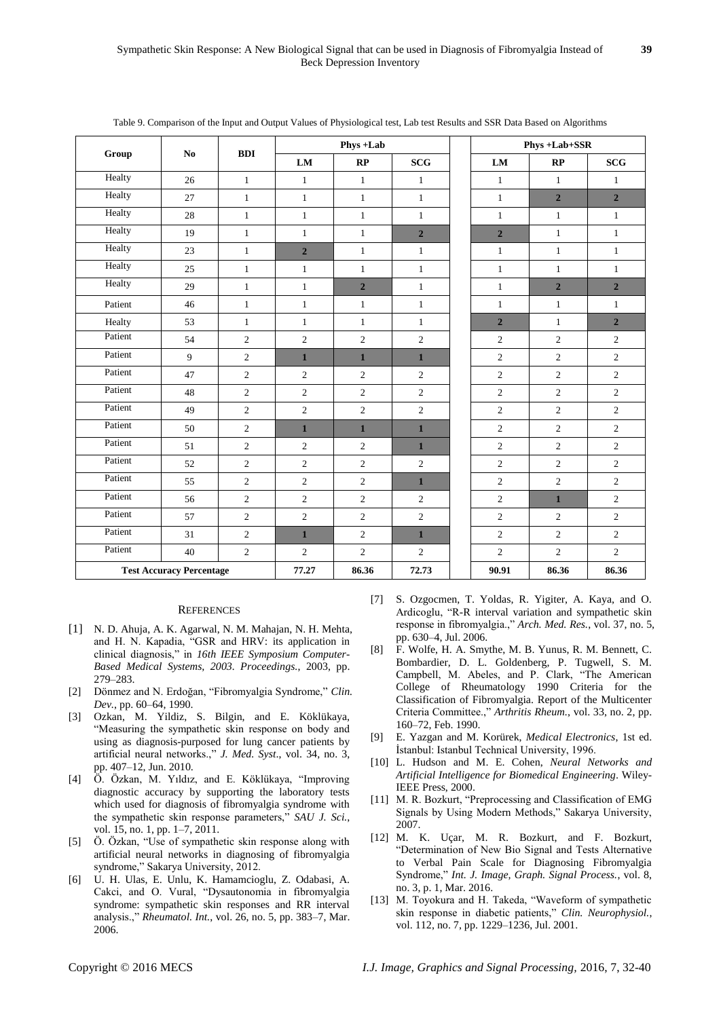|         |                                 |                |                | Phys+Lab       |                               | Phys +Lab+SSR  |                |                |  |
|---------|---------------------------------|----------------|----------------|----------------|-------------------------------|----------------|----------------|----------------|--|
| Group   | No                              | <b>BDI</b>     | ${\bf LM}$     | RP             | $\operatorname{\mathbf{SCG}}$ | LM             | RP             | SCG            |  |
| Healty  | 26                              | $\mathbf{1}$   | $\mathbf{1}$   | $\mathbf{1}$   | $\mathbf{1}$                  | $\mathbf{1}$   | $\mathbf{1}$   | $\mathbf{1}$   |  |
| Healty  | 27                              | $\mathbf{1}$   | $\mathbf{1}$   | $\mathbf{1}$   | $\mathbf{1}$                  | $\mathbf{1}$   | $\overline{2}$ | $\overline{2}$ |  |
| Healty  | 28                              | $\mathbf{1}$   | $\mathbf{1}$   | $\mathbf{1}$   | $\mathbf{1}$                  | $\mathbf{1}$   | $\mathbf{1}$   | $\mathbf{1}$   |  |
| Healty  | 19                              | $\mathbf{1}$   | $\mathbf{1}$   | $\mathbf{1}$   | $\overline{2}$                | $\overline{2}$ | $\mathbf{1}$   | $\mathbf{1}$   |  |
| Healty  | 23                              | $\mathbf{1}$   | $\overline{2}$ | $\mathbf{1}$   | $\mathbf{1}$                  | $\mathbf{1}$   | $\mathbf{1}$   | $\mathbf{1}$   |  |
| Healty  | 25                              | $\mathbf{1}$   | $\mathbf{1}$   | $\mathbf{1}$   | $\mathbf{1}$                  | $1\,$          | $\mathbf{1}$   | $\mathbf{1}$   |  |
| Healty  | 29                              | $\mathbf{1}$   | $\mathbf{1}$   | $\overline{2}$ | $\mathbf{1}$                  | $\mathbf{1}$   | $\overline{2}$ | $\overline{2}$ |  |
| Patient | 46                              | $\mathbf{1}$   | $\mathbf{1}$   | $\mathbf{1}$   | $\mathbf{1}$                  | $\mathbf{1}$   | $\mathbf{1}$   | $\mathbf{1}$   |  |
| Healty  | 53                              | $\mathbf{1}$   | $\mathbf{1}$   | $\mathbf{1}$   | $\mathbf{1}$                  | $\overline{2}$ | $\mathbf{1}$   | $\overline{2}$ |  |
| Patient | 54                              | $\mathfrak{2}$ | $\mathbf{2}$   | $\overline{2}$ | $\sqrt{2}$                    | 2              | $\overline{2}$ | $\overline{c}$ |  |
| Patient | 9                               | $\overline{2}$ | $\mathbf{1}$   | $\mathbf{1}$   | $\mathbf{1}$                  | $\overline{c}$ | $\overline{2}$ | $\overline{c}$ |  |
| Patient | 47                              | $\mathfrak{2}$ | $\overline{c}$ | $\overline{c}$ | $\mathbf{2}$                  | 2              | $\overline{2}$ | $\overline{c}$ |  |
| Patient | 48                              | $\mathfrak{2}$ | $\overline{c}$ | 2              | $\overline{c}$                | $\overline{c}$ | 2              | $\overline{2}$ |  |
| Patient | 49                              | $\mathfrak{2}$ | $\overline{c}$ | $\overline{2}$ | $\sqrt{2}$                    | $\overline{c}$ | $\overline{2}$ | $\overline{c}$ |  |
| Patient | 50                              | $\mathfrak{2}$ | $\mathbf{1}$   | $\mathbf{1}$   | $\mathbf{1}$                  | 2              | 2              | $\overline{c}$ |  |
| Patient | 51                              | $\overline{2}$ | $\overline{c}$ | 2              | $\mathbf{1}$                  | $\overline{2}$ | $\overline{2}$ | $\overline{2}$ |  |
| Patient | 52                              | $\overline{2}$ | $\overline{c}$ | $\overline{2}$ | $\sqrt{2}$                    | $\overline{2}$ | 2              | $\overline{2}$ |  |
| Patient | 55                              | $\overline{2}$ | $\overline{2}$ | $\overline{2}$ | $\mathbf{1}$                  | $\overline{c}$ | $\overline{2}$ | $\overline{c}$ |  |
| Patient | 56                              | $\mathfrak{2}$ | $\overline{c}$ | $\overline{2}$ | $\mathbf{2}$                  | $\overline{2}$ | $\mathbf{1}$   | $\overline{c}$ |  |
| Patient | 57                              | $\overline{2}$ | $\overline{c}$ | $\overline{2}$ | $\sqrt{2}$                    | $\overline{2}$ | $\mathbf{2}$   | $\overline{2}$ |  |
| Patient | 31                              | $\sqrt{2}$     | $\mathbf{1}$   | $\overline{2}$ | $\mathbf{1}$                  | $\overline{2}$ | $\mathbf{2}$   | $\overline{2}$ |  |
| Patient | 40                              | $\sqrt{2}$     | $\overline{c}$ | $\overline{2}$ | $\sqrt{2}$                    | $\mathbf{2}$   | $\overline{c}$ | $\overline{2}$ |  |
|         | <b>Test Accuracy Percentage</b> |                | 77.27          | 86.36          | 72.73                         | 90.91          | 86.36          | 86.36          |  |

Table 9. Comparison of the Input and Output Values of Physiological test, Lab test Results and SSR Data Based on Algorithms

#### **REFERENCES**

- [1] N. D. Ahuja, A. K. Agarwal, N. M. Mahajan, N. H. Mehta, and H. N. Kapadia, "GSR and HRV: its application in clinical diagnosis," in *16th IEEE Symposium Computer-Based Medical Systems, 2003. Proceedings.*, 2003, pp. 279–283.
- [2] Dönmez and N. Erdoğan, "Fibromyalgia Syndrome," *Clin. Dev.*, pp. 60–64, 1990.
- [3] Ozkan, M. Yildiz, S. Bilgin, and E. Köklükaya, ―Measuring the sympathetic skin response on body and using as diagnosis-purposed for lung cancer patients by artificial neural networks.," *J. Med. Syst.*, vol. 34, no. 3, pp. 407–12, Jun. 2010.
- [4] Ö. Özkan, M. Yıldız, and E. Köklükaya, "Improving diagnostic accuracy by supporting the laboratory tests which used for diagnosis of fibromyalgia syndrome with the sympathetic skin response parameters," SAU J. Sci., vol. 15, no. 1, pp. 1–7, 2011.
- [5] Ö. Özkan, "Use of sympathetic skin response along with artificial neural networks in diagnosing of fibromyalgia syndrome," Sakarya University, 2012.
- [6] U. H. Ulas, E. Unlu, K. Hamamcioglu, Z. Odabasi, A. Cakci, and O. Vural, "Dysautonomia in fibromyalgia syndrome: sympathetic skin responses and RR interval analysis.," *Rheumatol. Int.*, vol. 26, no. 5, pp. 383-7, Mar. 2006.
- [7] S. Ozgocmen, T. Yoldas, R. Yigiter, A. Kaya, and O. Ardicoglu, "R-R interval variation and sympathetic skin response in fibromyalgia.," *Arch. Med. Res.*, vol. 37, no. 5, pp. 630–4, Jul. 2006.
- [8] F. Wolfe, H. A. Smythe, M. B. Yunus, R. M. Bennett, C. Bombardier, D. L. Goldenberg, P. Tugwell, S. M. Campbell, M. Abeles, and P. Clark, "The American College of Rheumatology 1990 Criteria for the Classification of Fibromyalgia. Report of the Multicenter Criteria Committee.," Arthritis Rheum., vol. 33, no. 2, pp. 160–72, Feb. 1990.
- [9] E. Yazgan and M. Korürek, *Medical Electronics*, 1st ed. İstanbul: Istanbul Technical University, 1996.
- [10] L. Hudson and M. E. Cohen, *Neural Networks and Artificial Intelligence for Biomedical Engineering*. Wiley-IEEE Press, 2000.
- [11] M. R. Bozkurt, "Preprocessing and Classification of EMG Signals by Using Modern Methods," Sakarya University, 2007.
- [12] M. K. Uçar, M. R. Bozkurt, and F. Bozkurt, ―Determination of New Bio Signal and Tests Alternative to Verbal Pain Scale for Diagnosing Fibromyalgia Syndrome," Int. J. Image, Graph. Signal Process., vol. 8, no. 3, p. 1, Mar. 2016.
- [13] M. Toyokura and H. Takeda, "Waveform of sympathetic skin response in diabetic patients," *Clin. Neurophysiol.*, vol. 112, no. 7, pp. 1229–1236, Jul. 2001.